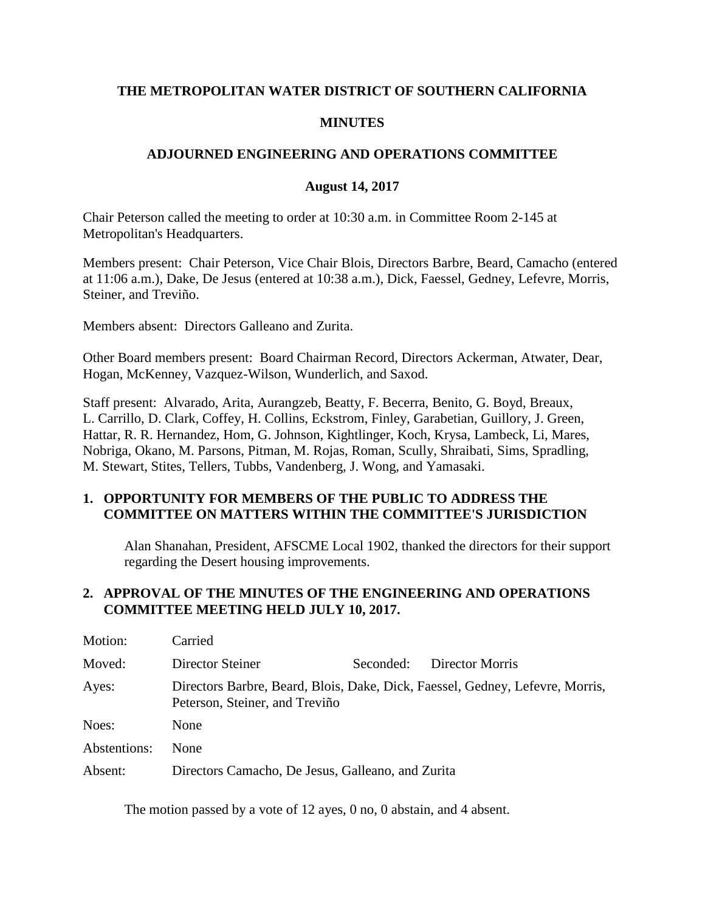### **THE METROPOLITAN WATER DISTRICT OF SOUTHERN CALIFORNIA**

### **MINUTES**

### **ADJOURNED ENGINEERING AND OPERATIONS COMMITTEE**

#### **August 14, 2017**

Chair Peterson called the meeting to order at 10:30 a.m. in Committee Room 2-145 at Metropolitan's Headquarters.

Members present: Chair Peterson, Vice Chair Blois, Directors Barbre, Beard, Camacho (entered at 11:06 a.m.), Dake, De Jesus (entered at 10:38 a.m.), Dick, Faessel, Gedney, Lefevre, Morris, Steiner, and Treviño.

Members absent: Directors Galleano and Zurita.

Other Board members present: Board Chairman Record, Directors Ackerman, Atwater, Dear, Hogan, McKenney, Vazquez-Wilson, Wunderlich, and Saxod.

Staff present: Alvarado, Arita, Aurangzeb, Beatty, F. Becerra, Benito, G. Boyd, Breaux, L. Carrillo, D. Clark, Coffey, H. Collins, Eckstrom, Finley, Garabetian, Guillory, J. Green, Hattar, R. R. Hernandez, Hom, G. Johnson, Kightlinger, Koch, Krysa, Lambeck, Li, Mares, Nobriga, Okano, M. Parsons, Pitman, M. Rojas, Roman, Scully, Shraibati, Sims, Spradling, M. Stewart, Stites, Tellers, Tubbs, Vandenberg, J. Wong, and Yamasaki.

#### **1. OPPORTUNITY FOR MEMBERS OF THE PUBLIC TO ADDRESS THE COMMITTEE ON MATTERS WITHIN THE COMMITTEE'S JURISDICTION**

Alan Shanahan, President, AFSCME Local 1902, thanked the directors for their support regarding the Desert housing improvements.

### **2. APPROVAL OF THE MINUTES OF THE ENGINEERING AND OPERATIONS COMMITTEE MEETING HELD JULY 10, 2017.**

| Motion:      | Carried                                           |           |                                                                               |
|--------------|---------------------------------------------------|-----------|-------------------------------------------------------------------------------|
| Moved:       | Director Steiner                                  | Seconded: | Director Morris                                                               |
| Ayes:        | Peterson, Steiner, and Treviño                    |           | Directors Barbre, Beard, Blois, Dake, Dick, Faessel, Gedney, Lefevre, Morris, |
| Noes:        | None                                              |           |                                                                               |
| Abstentions: | None                                              |           |                                                                               |
| Absent:      | Directors Camacho, De Jesus, Galleano, and Zurita |           |                                                                               |

The motion passed by a vote of 12 ayes, 0 no, 0 abstain, and 4 absent.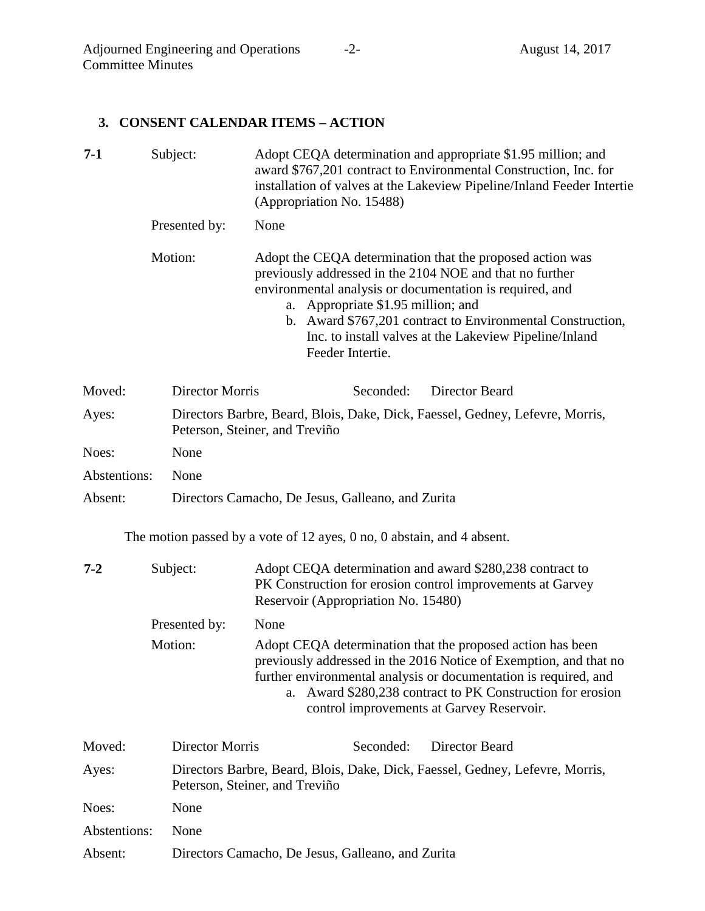## **3. CONSENT CALENDAR ITEMS – ACTION**

| $7-1$        |          | Subject:<br>Adopt CEQA determination and appropriate \$1.95 million; and<br>award \$767,201 contract to Environmental Construction, Inc. for<br>installation of valves at the Lakeview Pipeline/Inland Feeder Intertie<br>(Appropriation No. 15488) |                                                                                                                                                                                                                                                                                                                                                                        |  |  |
|--------------|----------|-----------------------------------------------------------------------------------------------------------------------------------------------------------------------------------------------------------------------------------------------------|------------------------------------------------------------------------------------------------------------------------------------------------------------------------------------------------------------------------------------------------------------------------------------------------------------------------------------------------------------------------|--|--|
|              |          | Presented by:                                                                                                                                                                                                                                       | None                                                                                                                                                                                                                                                                                                                                                                   |  |  |
|              | Motion:  |                                                                                                                                                                                                                                                     | Adopt the CEQA determination that the proposed action was<br>previously addressed in the 2104 NOE and that no further<br>environmental analysis or documentation is required, and<br>Appropriate \$1.95 million; and<br>a.<br>b. Award \$767,201 contract to Environmental Construction,<br>Inc. to install valves at the Lakeview Pipeline/Inland<br>Feeder Intertie. |  |  |
| Moved:       |          | <b>Director Morris</b>                                                                                                                                                                                                                              | Director Beard<br>Seconded:                                                                                                                                                                                                                                                                                                                                            |  |  |
| Ayes:        |          | Directors Barbre, Beard, Blois, Dake, Dick, Faessel, Gedney, Lefevre, Morris,<br>Peterson, Steiner, and Treviño                                                                                                                                     |                                                                                                                                                                                                                                                                                                                                                                        |  |  |
| Noes:        |          | None                                                                                                                                                                                                                                                |                                                                                                                                                                                                                                                                                                                                                                        |  |  |
| Abstentions: |          | None                                                                                                                                                                                                                                                |                                                                                                                                                                                                                                                                                                                                                                        |  |  |
| Absent:      |          |                                                                                                                                                                                                                                                     | Directors Camacho, De Jesus, Galleano, and Zurita                                                                                                                                                                                                                                                                                                                      |  |  |
|              |          |                                                                                                                                                                                                                                                     | The motion passed by a vote of 12 ayes, $0$ no, $0$ abstain, and $4$ absent.                                                                                                                                                                                                                                                                                           |  |  |
| $7 - 2$      | Subject: |                                                                                                                                                                                                                                                     | Adopt CEQA determination and award \$280,238 contract to<br>PK Construction for erosion control improvements at Garvey<br>Reservoir (Appropriation No. 15480)                                                                                                                                                                                                          |  |  |
|              |          | Presented by:                                                                                                                                                                                                                                       | None                                                                                                                                                                                                                                                                                                                                                                   |  |  |
|              | Motion:  |                                                                                                                                                                                                                                                     | Adopt CEQA determination that the proposed action has been<br>previously addressed in the 2016 Notice of Exemption, and that no                                                                                                                                                                                                                                        |  |  |

further environmental analysis or documentation is required, and a. Award \$280,238 contract to PK Construction for erosion control improvements at Garvey Reservoir.

| Moved:       | Director Morris                                   | Seconded: | Director Beard                                                                |
|--------------|---------------------------------------------------|-----------|-------------------------------------------------------------------------------|
| Ayes:        | Peterson, Steiner, and Treviño                    |           | Directors Barbre, Beard, Blois, Dake, Dick, Faessel, Gedney, Lefevre, Morris, |
| Noes:        | None                                              |           |                                                                               |
| Abstentions: | <b>None</b>                                       |           |                                                                               |
| Absent:      | Directors Camacho, De Jesus, Galleano, and Zurita |           |                                                                               |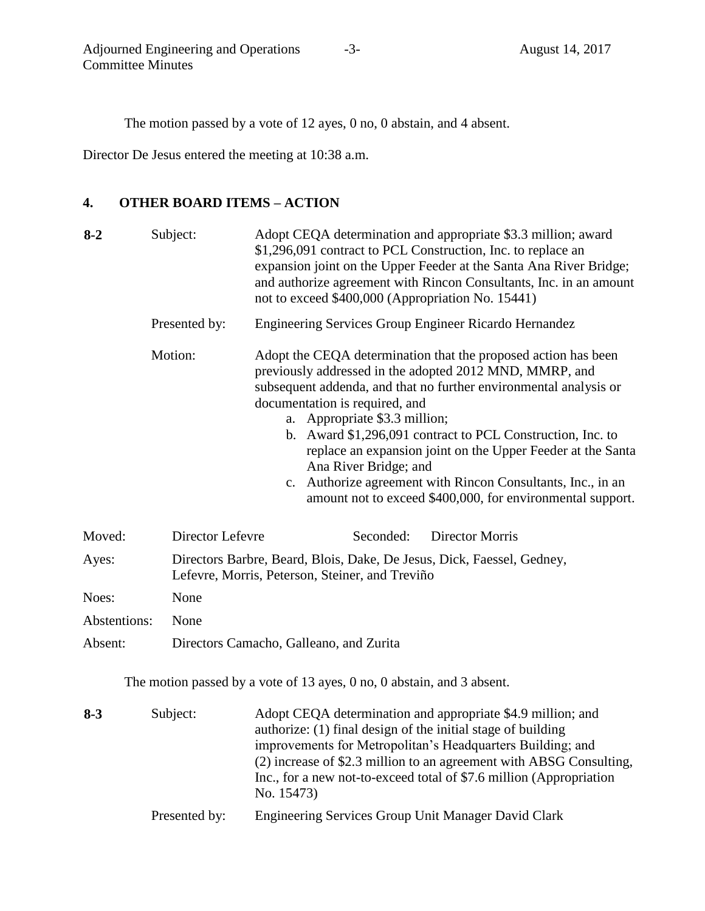The motion passed by a vote of 12 ayes, 0 no, 0 abstain, and 4 absent.

Director De Jesus entered the meeting at 10:38 a.m.

# **4. OTHER BOARD ITEMS – ACTION**

| $8 - 2$      | Subject:         | Adopt CEQA determination and appropriate \$3.3 million; award<br>\$1,296,091 contract to PCL Construction, Inc. to replace an<br>expansion joint on the Upper Feeder at the Santa Ana River Bridge;<br>and authorize agreement with Rincon Consultants, Inc. in an amount<br>not to exceed \$400,000 (Appropriation No. 15441)                                                                                                                                                                                                                       |  |  |
|--------------|------------------|------------------------------------------------------------------------------------------------------------------------------------------------------------------------------------------------------------------------------------------------------------------------------------------------------------------------------------------------------------------------------------------------------------------------------------------------------------------------------------------------------------------------------------------------------|--|--|
|              | Presented by:    | Engineering Services Group Engineer Ricardo Hernandez                                                                                                                                                                                                                                                                                                                                                                                                                                                                                                |  |  |
|              | Motion:          | Adopt the CEQA determination that the proposed action has been<br>previously addressed in the adopted 2012 MND, MMRP, and<br>subsequent addenda, and that no further environmental analysis or<br>documentation is required, and<br>a. Appropriate \$3.3 million;<br>b. Award \$1,296,091 contract to PCL Construction, Inc. to<br>replace an expansion joint on the Upper Feeder at the Santa<br>Ana River Bridge; and<br>c. Authorize agreement with Rincon Consultants, Inc., in an<br>amount not to exceed \$400,000, for environmental support. |  |  |
| Moved:       | Director Lefevre | Director Morris<br>Seconded:                                                                                                                                                                                                                                                                                                                                                                                                                                                                                                                         |  |  |
| Ayes:        |                  | Directors Barbre, Beard, Blois, Dake, De Jesus, Dick, Faessel, Gedney,<br>Lefevre, Morris, Peterson, Steiner, and Treviño                                                                                                                                                                                                                                                                                                                                                                                                                            |  |  |
| Noes:        | None             |                                                                                                                                                                                                                                                                                                                                                                                                                                                                                                                                                      |  |  |
| Abstentions: | None             |                                                                                                                                                                                                                                                                                                                                                                                                                                                                                                                                                      |  |  |
| Absent:      |                  | Directors Camacho, Galleano, and Zurita                                                                                                                                                                                                                                                                                                                                                                                                                                                                                                              |  |  |

The motion passed by a vote of 13 ayes, 0 no, 0 abstain, and 3 absent.

| $8 - 3$ | Subject:      | Adopt CEQA determination and appropriate \$4.9 million; and<br>authorize: (1) final design of the initial stage of building<br>improvements for Metropolitan's Headquarters Building; and<br>(2) increase of \$2.3 million to an agreement with ABSG Consulting,<br>Inc., for a new not-to-exceed total of \$7.6 million (Appropriation<br>No. 15473) |
|---------|---------------|-------------------------------------------------------------------------------------------------------------------------------------------------------------------------------------------------------------------------------------------------------------------------------------------------------------------------------------------------------|
|         | Presented by: | Engineering Services Group Unit Manager David Clark                                                                                                                                                                                                                                                                                                   |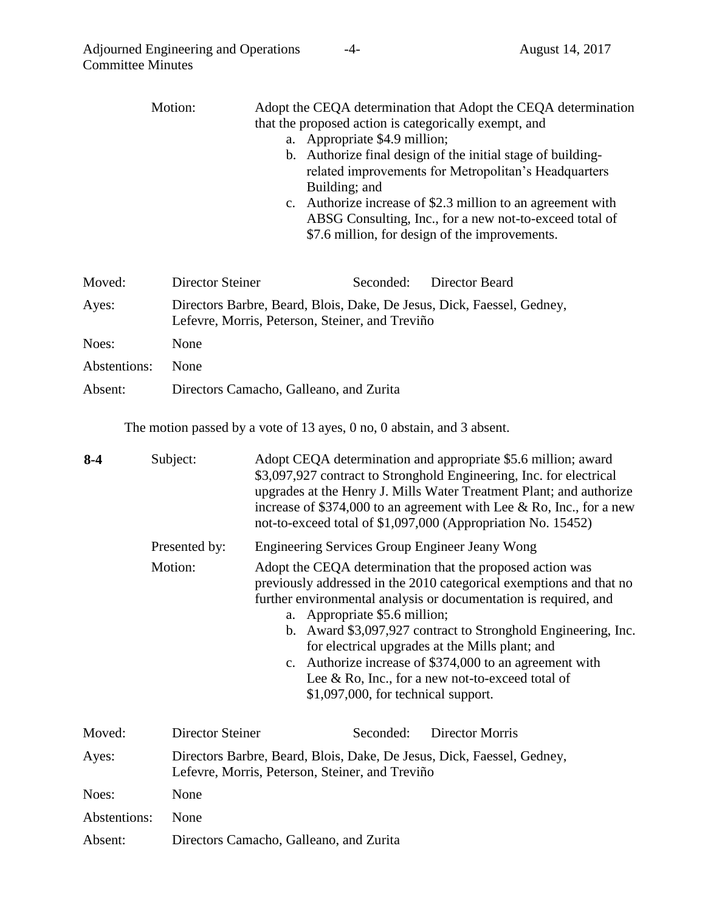|                     | Motion:                                 | Adopt the CEQA determination that Adopt the CEQA determination<br>that the proposed action is categorically exempt, and<br>a. Appropriate \$4.9 million;<br>b. Authorize final design of the initial stage of building-<br>related improvements for Metropolitan's Headquarters<br>Building; and<br>Authorize increase of \$2.3 million to an agreement with<br>$\mathbf{c}$ .<br>ABSG Consulting, Inc., for a new not-to-exceed total of<br>\$7.6 million, for design of the improvements.                       |  |
|---------------------|-----------------------------------------|-------------------------------------------------------------------------------------------------------------------------------------------------------------------------------------------------------------------------------------------------------------------------------------------------------------------------------------------------------------------------------------------------------------------------------------------------------------------------------------------------------------------|--|
| Moved:              | <b>Director Steiner</b>                 | Seconded:<br>Director Beard                                                                                                                                                                                                                                                                                                                                                                                                                                                                                       |  |
| Ayes:               |                                         | Directors Barbre, Beard, Blois, Dake, De Jesus, Dick, Faessel, Gedney,<br>Lefevre, Morris, Peterson, Steiner, and Treviño                                                                                                                                                                                                                                                                                                                                                                                         |  |
| Noes:               | None                                    |                                                                                                                                                                                                                                                                                                                                                                                                                                                                                                                   |  |
| Abstentions:        | None                                    |                                                                                                                                                                                                                                                                                                                                                                                                                                                                                                                   |  |
| Absent:             |                                         | Directors Camacho, Galleano, and Zurita                                                                                                                                                                                                                                                                                                                                                                                                                                                                           |  |
| Subject:<br>$8 - 4$ |                                         | The motion passed by a vote of 13 ayes, 0 no, 0 abstain, and 3 absent.<br>Adopt CEQA determination and appropriate \$5.6 million; award<br>\$3,097,927 contract to Stronghold Engineering, Inc. for electrical<br>upgrades at the Henry J. Mills Water Treatment Plant; and authorize<br>increase of \$374,000 to an agreement with Lee & Ro, Inc., for a new<br>not-to-exceed total of \$1,097,000 (Appropriation No. 15452)                                                                                     |  |
|                     | Presented by:                           | <b>Engineering Services Group Engineer Jeany Wong</b>                                                                                                                                                                                                                                                                                                                                                                                                                                                             |  |
|                     | Motion:                                 | Adopt the CEQA determination that the proposed action was<br>previously addressed in the 2010 categorical exemptions and that no<br>further environmental analysis or documentation is required, and<br>a. Appropriate \$5.6 million;<br>b. Award \$3,097,927 contract to Stronghold Engineering, Inc.<br>for electrical upgrades at the Mills plant; and<br>c. Authorize increase of \$374,000 to an agreement with<br>Lee & Ro, Inc., for a new not-to-exceed total of<br>$$1,097,000$ , for technical support. |  |
| Moved:              | <b>Director Steiner</b>                 | Seconded:<br><b>Director Morris</b>                                                                                                                                                                                                                                                                                                                                                                                                                                                                               |  |
| Ayes:               |                                         | Directors Barbre, Beard, Blois, Dake, De Jesus, Dick, Faessel, Gedney,<br>Lefevre, Morris, Peterson, Steiner, and Treviño                                                                                                                                                                                                                                                                                                                                                                                         |  |
| Noes:               | None                                    |                                                                                                                                                                                                                                                                                                                                                                                                                                                                                                                   |  |
| Abstentions:        | None                                    |                                                                                                                                                                                                                                                                                                                                                                                                                                                                                                                   |  |
| Absent:             | Directors Camacho, Galleano, and Zurita |                                                                                                                                                                                                                                                                                                                                                                                                                                                                                                                   |  |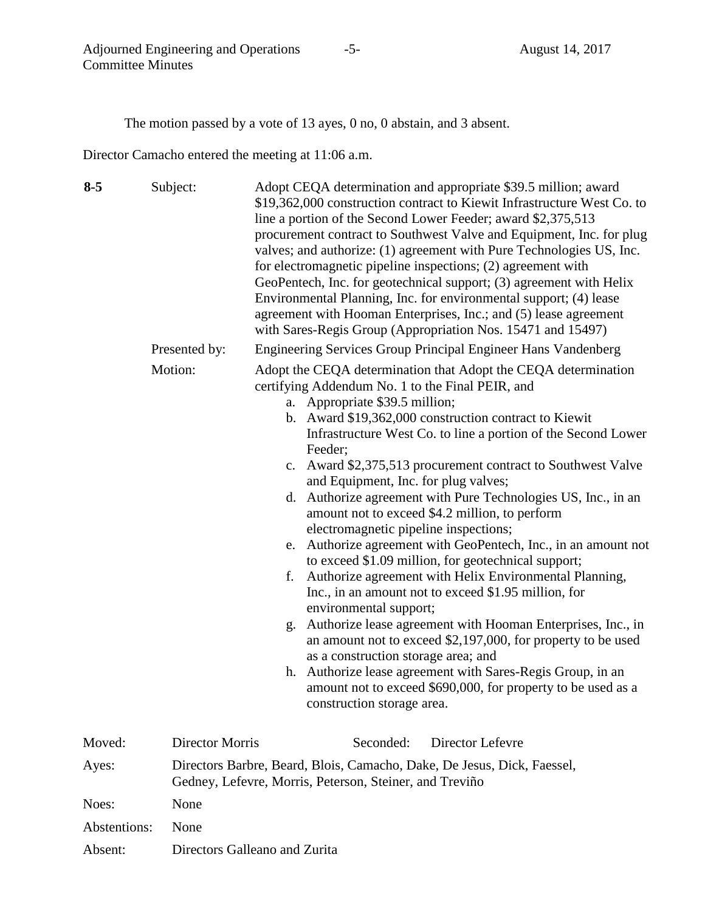The motion passed by a vote of 13 ayes, 0 no, 0 abstain, and 3 absent.

Director Camacho entered the meeting at 11:06 a.m.

| $8 - 5$ | Subject:               | Adopt CEQA determination and appropriate \$39.5 million; award<br>\$19,362,000 construction contract to Kiewit Infrastructure West Co. to<br>line a portion of the Second Lower Feeder; award \$2,375,513<br>procurement contract to Southwest Valve and Equipment, Inc. for plug<br>valves; and authorize: (1) agreement with Pure Technologies US, Inc.<br>for electromagnetic pipeline inspections; (2) agreement with<br>GeoPentech, Inc. for geotechnical support; (3) agreement with Helix<br>Environmental Planning, Inc. for environmental support; (4) lease<br>agreement with Hooman Enterprises, Inc.; and (5) lease agreement<br>with Sares-Regis Group (Appropriation Nos. 15471 and 15497)                                                                                                                                                                                                                                                                                                                                                                                                                                                                            |
|---------|------------------------|-------------------------------------------------------------------------------------------------------------------------------------------------------------------------------------------------------------------------------------------------------------------------------------------------------------------------------------------------------------------------------------------------------------------------------------------------------------------------------------------------------------------------------------------------------------------------------------------------------------------------------------------------------------------------------------------------------------------------------------------------------------------------------------------------------------------------------------------------------------------------------------------------------------------------------------------------------------------------------------------------------------------------------------------------------------------------------------------------------------------------------------------------------------------------------------|
|         | Presented by:          | <b>Engineering Services Group Principal Engineer Hans Vandenberg</b>                                                                                                                                                                                                                                                                                                                                                                                                                                                                                                                                                                                                                                                                                                                                                                                                                                                                                                                                                                                                                                                                                                                |
|         | Motion:                | Adopt the CEQA determination that Adopt the CEQA determination<br>certifying Addendum No. 1 to the Final PEIR, and<br>a. Appropriate \$39.5 million;<br>b. Award \$19,362,000 construction contract to Kiewit<br>Infrastructure West Co. to line a portion of the Second Lower<br>Feeder;<br>c. Award \$2,375,513 procurement contract to Southwest Valve<br>and Equipment, Inc. for plug valves;<br>d. Authorize agreement with Pure Technologies US, Inc., in an<br>amount not to exceed \$4.2 million, to perform<br>electromagnetic pipeline inspections;<br>Authorize agreement with GeoPentech, Inc., in an amount not<br>e.<br>to exceed \$1.09 million, for geotechnical support;<br>Authorize agreement with Helix Environmental Planning,<br>f.<br>Inc., in an amount not to exceed \$1.95 million, for<br>environmental support;<br>Authorize lease agreement with Hooman Enterprises, Inc., in<br>g.<br>an amount not to exceed \$2,197,000, for property to be used<br>as a construction storage area; and<br>h. Authorize lease agreement with Sares-Regis Group, in an<br>amount not to exceed \$690,000, for property to be used as a<br>construction storage area. |
| Moved:  | <b>Director Morris</b> | Director Lefevre<br>Seconded:                                                                                                                                                                                                                                                                                                                                                                                                                                                                                                                                                                                                                                                                                                                                                                                                                                                                                                                                                                                                                                                                                                                                                       |
| Ayes:   |                        | Directors Barbre, Beard, Blois, Camacho, Dake, De Jesus, Dick, Faessel,<br>Gedney, Lefevre, Morris, Peterson, Steiner, and Treviño                                                                                                                                                                                                                                                                                                                                                                                                                                                                                                                                                                                                                                                                                                                                                                                                                                                                                                                                                                                                                                                  |
| Noes:   | None                   |                                                                                                                                                                                                                                                                                                                                                                                                                                                                                                                                                                                                                                                                                                                                                                                                                                                                                                                                                                                                                                                                                                                                                                                     |
|         |                        |                                                                                                                                                                                                                                                                                                                                                                                                                                                                                                                                                                                                                                                                                                                                                                                                                                                                                                                                                                                                                                                                                                                                                                                     |

Abstentions: None

Absent: Directors Galleano and Zurita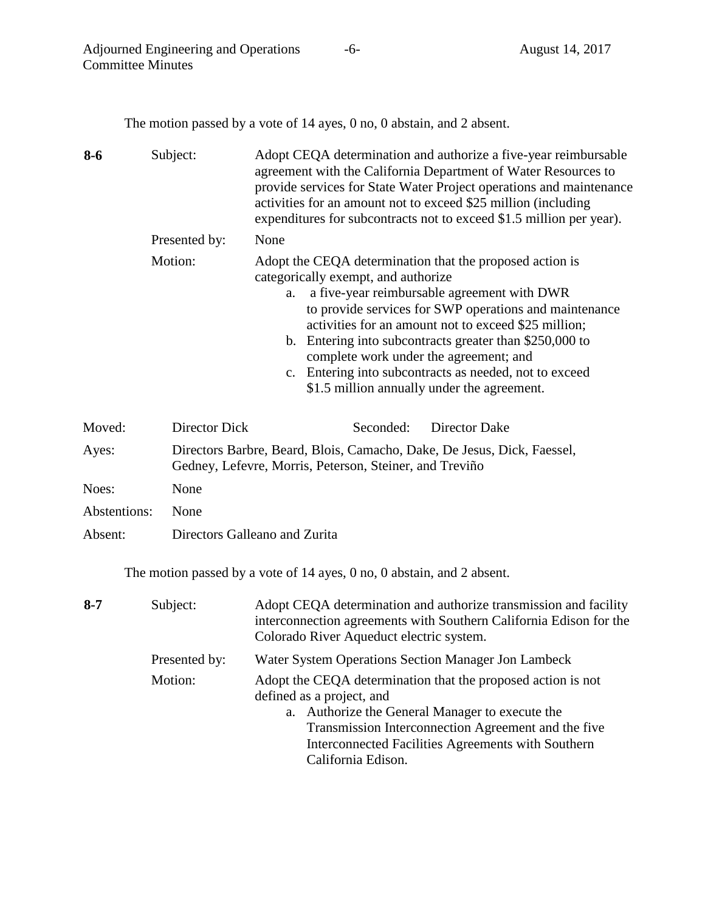The motion passed by a vote of 14 ayes, 0 no, 0 abstain, and 2 absent.

| $8 - 6$      | Subject:      | Adopt CEQA determination and authorize a five-year reimbursable<br>agreement with the California Department of Water Resources to<br>provide services for State Water Project operations and maintenance<br>activities for an amount not to exceed \$25 million (including<br>expenditures for subcontracts not to exceed \$1.5 million per year).                                                                                                                                   |  |  |
|--------------|---------------|--------------------------------------------------------------------------------------------------------------------------------------------------------------------------------------------------------------------------------------------------------------------------------------------------------------------------------------------------------------------------------------------------------------------------------------------------------------------------------------|--|--|
|              | Presented by: | None                                                                                                                                                                                                                                                                                                                                                                                                                                                                                 |  |  |
|              | Motion:       | Adopt the CEQA determination that the proposed action is<br>categorically exempt, and authorize<br>a five-year reimbursable agreement with DWR<br>a.<br>to provide services for SWP operations and maintenance<br>activities for an amount not to exceed \$25 million;<br>b. Entering into subcontracts greater than \$250,000 to<br>complete work under the agreement; and<br>c. Entering into subcontracts as needed, not to exceed<br>\$1.5 million annually under the agreement. |  |  |
| Moved:       | Director Dick | Seconded:<br><b>Director Dake</b>                                                                                                                                                                                                                                                                                                                                                                                                                                                    |  |  |
| Ayes:        |               | Directors Barbre, Beard, Blois, Camacho, Dake, De Jesus, Dick, Faessel,<br>Gedney, Lefevre, Morris, Peterson, Steiner, and Treviño                                                                                                                                                                                                                                                                                                                                                   |  |  |
| Noes:        | None          |                                                                                                                                                                                                                                                                                                                                                                                                                                                                                      |  |  |
| Abstentions: | None          |                                                                                                                                                                                                                                                                                                                                                                                                                                                                                      |  |  |
| Absent:      |               | Directors Galleano and Zurita                                                                                                                                                                                                                                                                                                                                                                                                                                                        |  |  |

The motion passed by a vote of 14 ayes, 0 no, 0 abstain, and 2 absent.

| $8 - 7$ | Subject:      | Adopt CEQA determination and authorize transmission and facility<br>interconnection agreements with Southern California Edison for the<br>Colorado River Aqueduct electric system.                                                                                              |
|---------|---------------|---------------------------------------------------------------------------------------------------------------------------------------------------------------------------------------------------------------------------------------------------------------------------------|
|         | Presented by: | Water System Operations Section Manager Jon Lambeck                                                                                                                                                                                                                             |
|         | Motion:       | Adopt the CEQA determination that the proposed action is not<br>defined as a project, and<br>a. Authorize the General Manager to execute the<br>Transmission Interconnection Agreement and the five<br>Interconnected Facilities Agreements with Southern<br>California Edison. |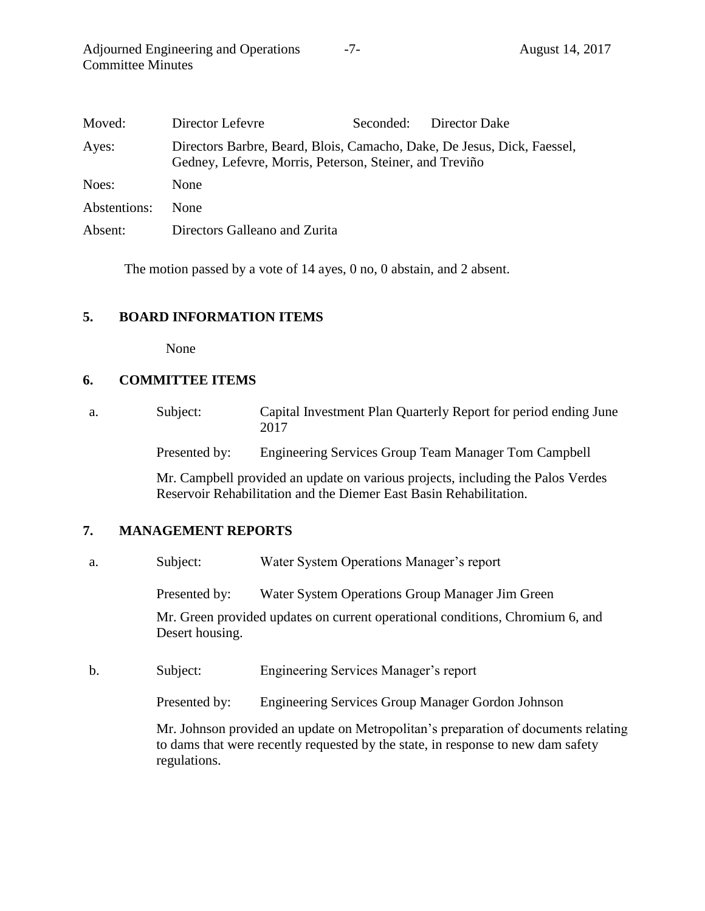| Moved:       | Director Lefevre                                                                                                                   | Seconded: Director Dake |
|--------------|------------------------------------------------------------------------------------------------------------------------------------|-------------------------|
| Ayes:        | Directors Barbre, Beard, Blois, Camacho, Dake, De Jesus, Dick, Faessel,<br>Gedney, Lefevre, Morris, Peterson, Steiner, and Treviño |                         |
| Noes:        | <b>None</b>                                                                                                                        |                         |
| Abstentions: | <b>None</b>                                                                                                                        |                         |
| Absent:      | Directors Galleano and Zurita                                                                                                      |                         |

The motion passed by a vote of 14 ayes, 0 no, 0 abstain, and 2 absent.

### **5. BOARD INFORMATION ITEMS**

None

### **6. COMMITTEE ITEMS**

a. Subject: Capital Investment Plan Quarterly Report for period ending June 2017

Presented by: Engineering Services Group Team Manager Tom Campbell

Mr. Campbell provided an update on various projects, including the Palos Verdes Reservoir Rehabilitation and the Diemer East Basin Rehabilitation.

#### **7. MANAGEMENT REPORTS**

a. Subject: Water System Operations Manager's report

Presented by: Water System Operations Group Manager Jim Green

Mr. Green provided updates on current operational conditions, Chromium 6, and Desert housing.

b. Subject: Engineering Services Manager's report

Presented by: Engineering Services Group Manager Gordon Johnson

Mr. Johnson provided an update on Metropolitan's preparation of documents relating to dams that were recently requested by the state, in response to new dam safety regulations.